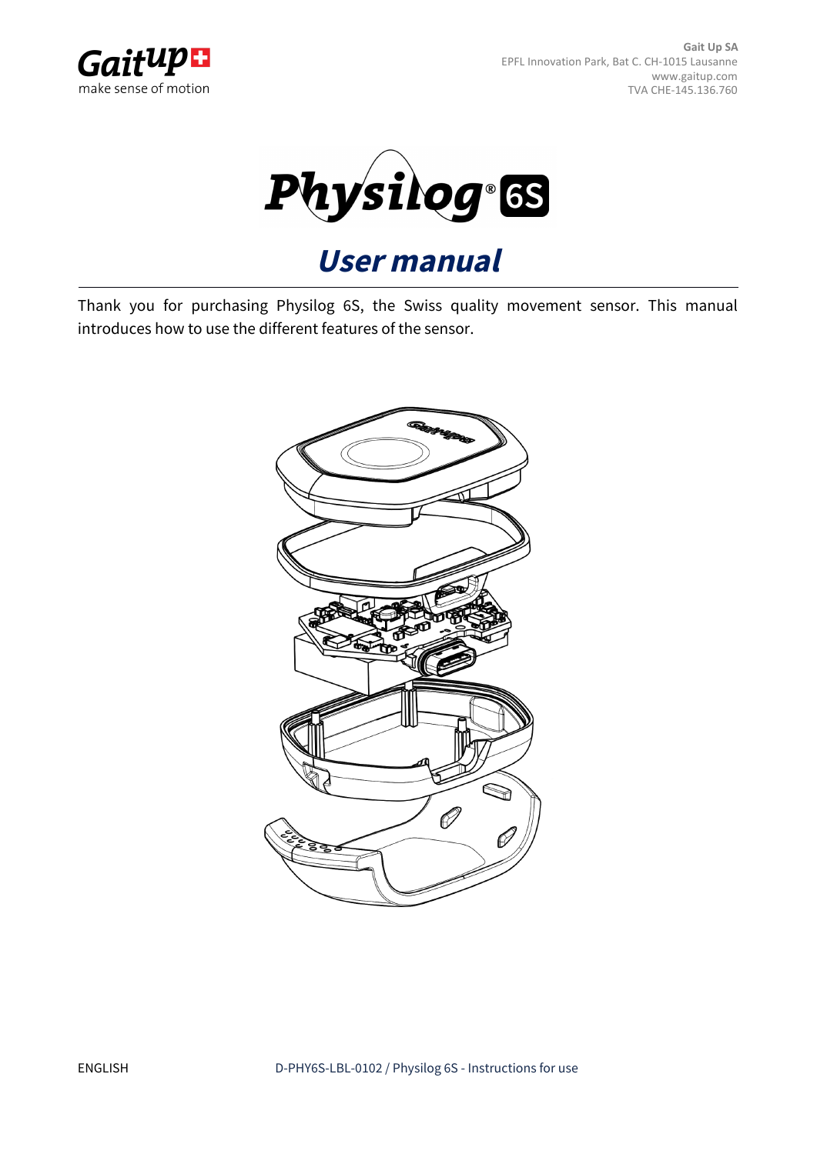



# **User manual**

Thank you for purchasing Physilog 6S, the Swiss quality movement sensor. This manual introduces how to use the different features of the sensor.

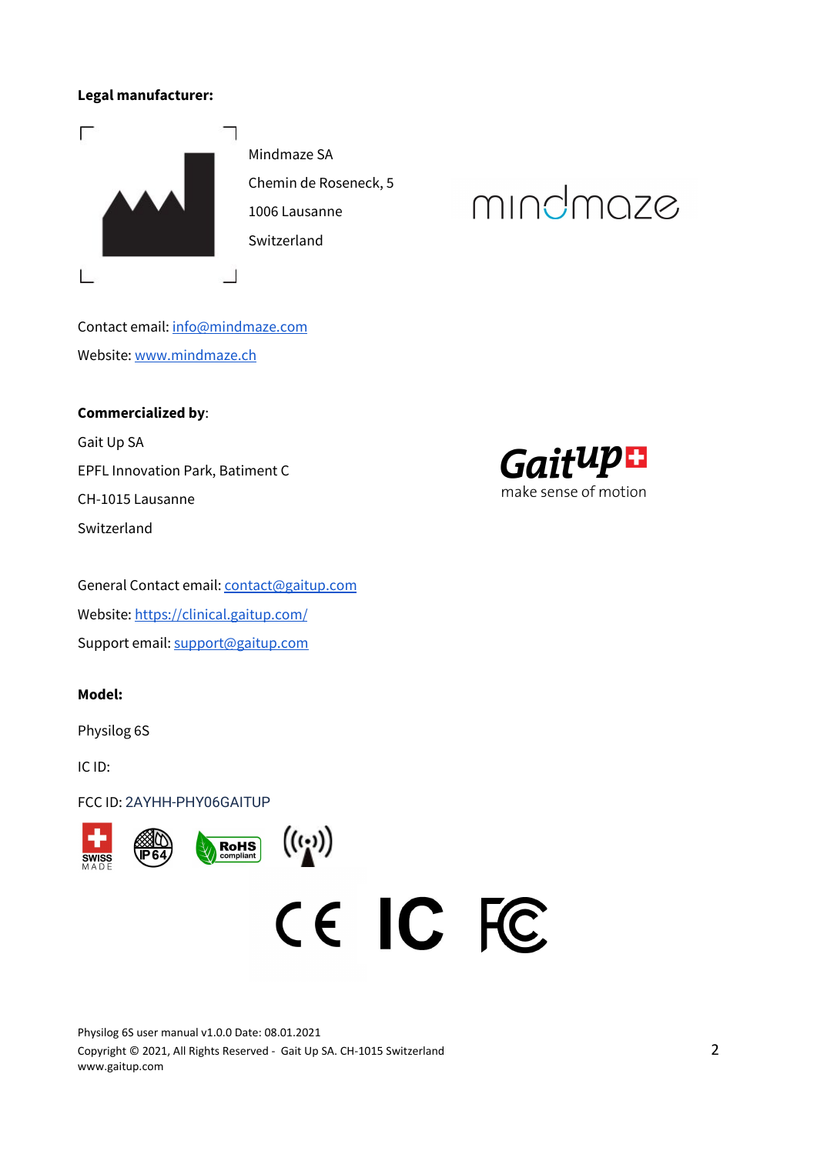#### **Legal manufacturer:**



Mindmaze SA Chemin de Roseneck, 5 1006 Lausanne Switzerland

# mindmaze

Contact email: [info@mindmaze.com](mailto:info@mindmaze.com) Website: [www.mindmaze.ch](http://www.mindmaze.ch/)

#### **Commercialized by**:

Gait Up SA EPFL Innovation Park, Batiment C CH-1015 Lausanne Switzerland

General Contact email: [contact@gaitup.com](mailto:contact@gaitup.com) Website: <https://clinical.gaitup.com/> Support email: [support@gaitup.com](mailto:support@gaitup.com)

#### **Model:**

Physilog 6S

IC ID:

FCC ID: 2AYHH-PHY06GAITUP







Physilog 6S user manual v1.0.0 Date: 08.01.2021 Copyright © 2021, All Rights Reserved - Gait Up SA. CH-1015 Switzerland 2 www.gaitup.com

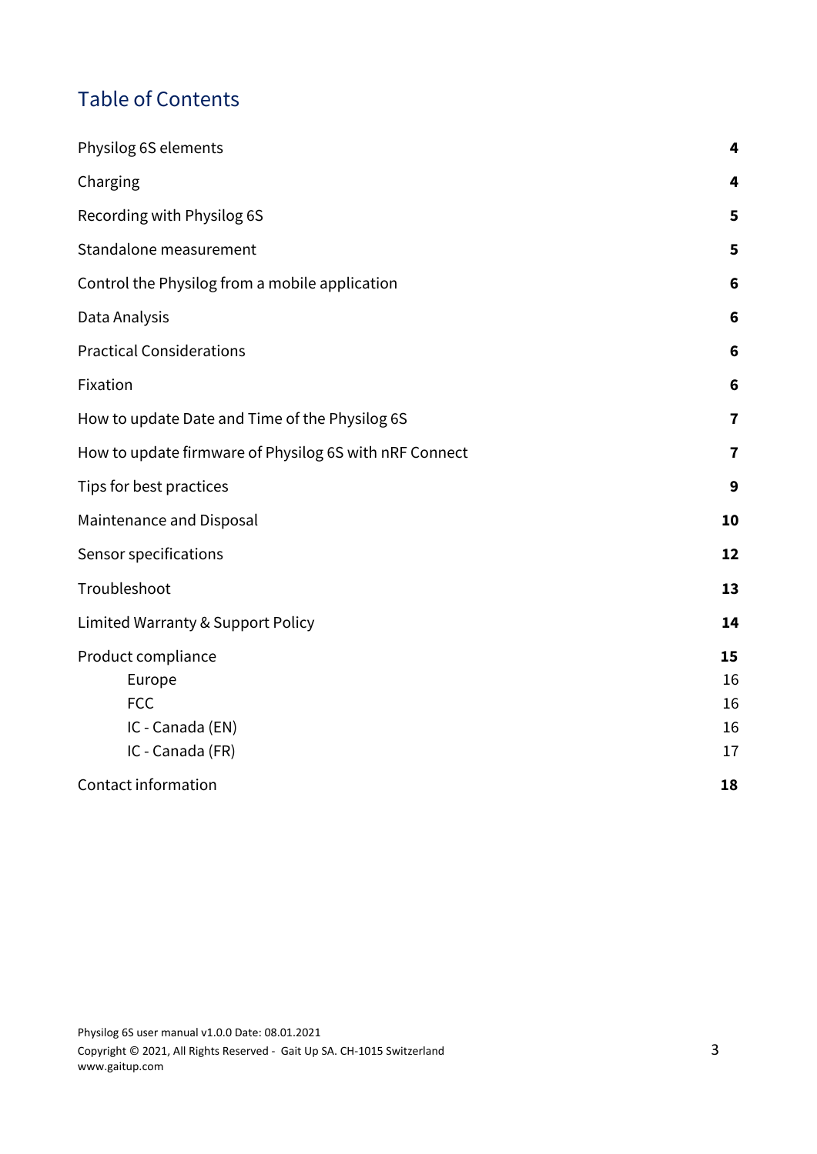# Table of Contents

| Physilog 6S elements                                   | 4              |
|--------------------------------------------------------|----------------|
| Charging                                               | 4              |
| Recording with Physilog 6S                             | 5              |
| Standalone measurement                                 | 5              |
| Control the Physilog from a mobile application         | 6              |
| Data Analysis                                          | 6              |
| <b>Practical Considerations</b>                        | 6              |
| Fixation                                               | $6\phantom{1}$ |
| How to update Date and Time of the Physilog 6S         | $\overline{7}$ |
| How to update firmware of Physilog 6S with nRF Connect | $\overline{7}$ |
| Tips for best practices                                | 9              |
| Maintenance and Disposal                               | 10             |
| Sensor specifications                                  | 12             |
| Troubleshoot                                           | 13             |
| Limited Warranty & Support Policy                      | 14             |
| Product compliance                                     | 15             |
| Europe                                                 | 16             |
| <b>FCC</b>                                             | 16             |
| IC - Canada (EN)                                       | 16             |
| IC - Canada (FR)                                       | 17             |
| Contact information                                    | 18             |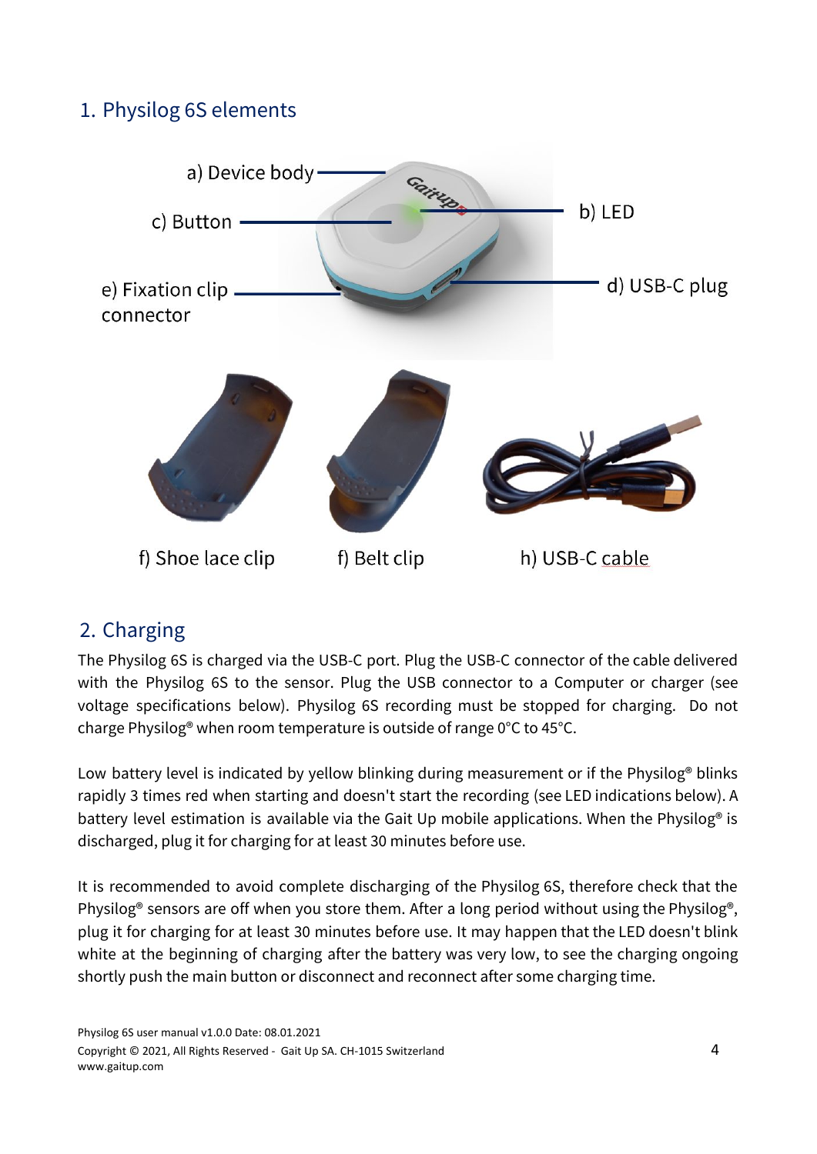# <span id="page-3-0"></span>1. Physilog 6S elements



# <span id="page-3-1"></span>2. Charging

The Physilog 6S is charged via the USB-C port. Plug the USB-C connector of the cable delivered with the Physilog 6S to the sensor. Plug the USB connector to a Computer or charger (see voltage specifications below). Physilog 6S recording must be stopped for charging. Do not charge Physilog® when room temperature is outside of range 0°C to 45°C.

Low battery level is indicated by yellow blinking during measurement or if the Physilog® blinks rapidly 3 times red when starting and doesn't start the recording (see LED indications below). A battery level estimation is available via the Gait Up mobile applications. When the Physilog<sup>®</sup> is discharged, plug it for charging for at least 30 minutes before use.

It is recommended to avoid complete discharging of the Physilog 6S, therefore check that the Physilog® sensors are off when you store them. After a long period without using the Physilog®, plug it for charging for at least 30 minutes before use. It may happen that the LED doesn't blink white at the beginning of charging after the battery was very low, to see the charging ongoing shortly push the main button or disconnect and reconnect after some charging time.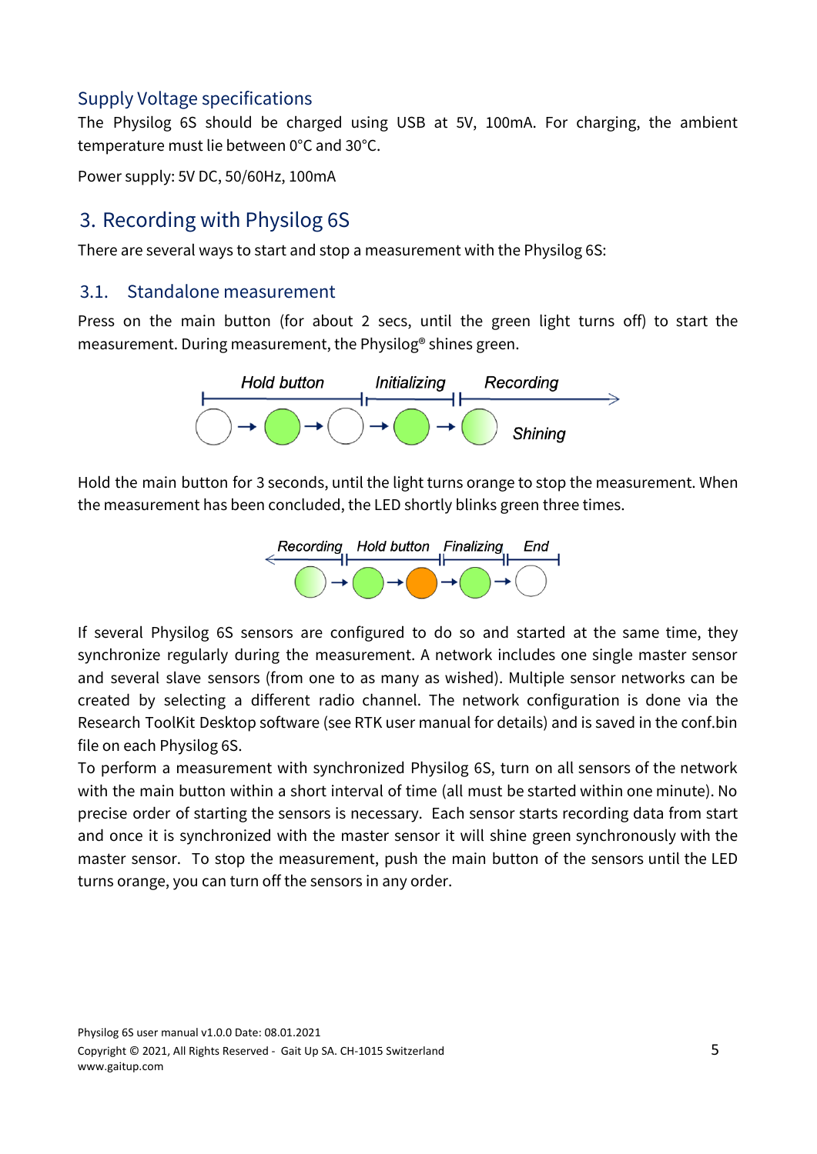# Supply Voltage specifications

The Physilog 6S should be charged using USB at 5V, 100mA. For charging, the ambient temperature must lie between 0°C and 30°C.

Power supply: 5V DC, 50/60Hz, 100mA

# <span id="page-4-0"></span>3. Recording with Physilog 6S

There are several ways to start and stop a measurement with the Physilog 6S:

#### <span id="page-4-1"></span>3.1. Standalone measurement

Press on the main button (for about 2 secs, until the green light turns off) to start the measurement. During measurement, the Physilog® shines green.



Hold the main button for 3 seconds, until the light turns orange to stop the measurement. When the measurement has been concluded, the LED shortly blinks green three times.



If several Physilog 6S sensors are configured to do so and started at the same time, they synchronize regularly during the measurement. A network includes one single master sensor and several slave sensors (from one to as many as wished). Multiple sensor networks can be created by selecting a different radio channel. The network configuration is done via the Research ToolKit Desktop software (see RTK user manual for details) and is saved in the conf.bin file on each Physilog 6S.

To perform a measurement with synchronized Physilog 6S, turn on all sensors of the network with the main button within a short interval of time (all must be started within one minute). No precise order of starting the sensors is necessary. Each sensor starts recording data from start and once it is synchronized with the master sensor it will shine green synchronously with the master sensor. To stop the measurement, push the main button of the sensors until the LED turns orange, you can turn off the sensors in any order.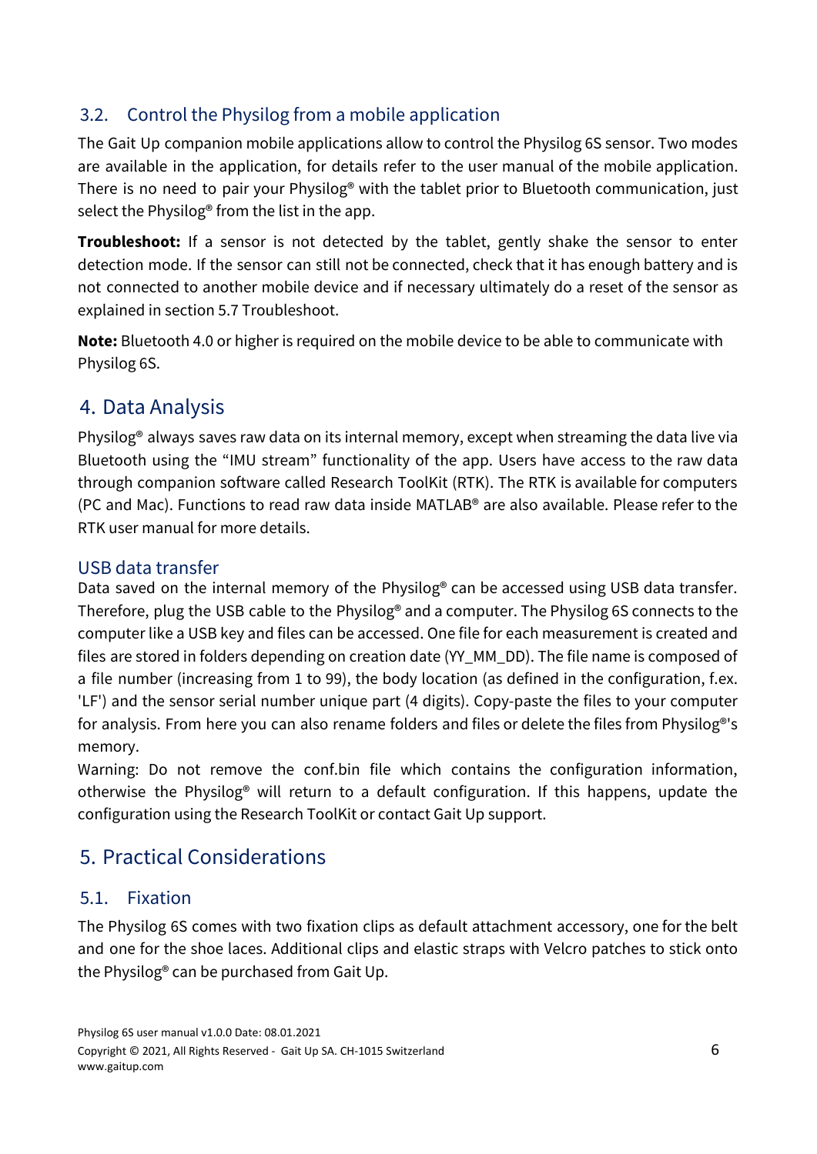# <span id="page-5-0"></span>3.2. Control the Physilog from a mobile application

The Gait Up companion mobile applications allow to control the Physilog 6S sensor. Two modes are available in the application, for details refer to the user manual of the mobile application. There is no need to pair your Physilog® with the tablet prior to Bluetooth communication, just select the Physilog® from the list in the app.

**Troubleshoot:** If a sensor is not detected by the tablet, gently shake the sensor to enter detection mode. If the sensor can still not be connected, check that it has enough battery and is not connected to another mobile device and if necessary ultimately do a reset of the sensor as explained in section 5.7 Troubleshoot.

**Note:** Bluetooth 4.0 or higher is required on the mobile device to be able to communicate with Physilog 6S.

# <span id="page-5-1"></span>4. Data Analysis

Physilog® always saves raw data on its internal memory, except when streaming the data live via Bluetooth using the "IMU stream" functionality of the app. Users have access to the raw data through companion software called Research ToolKit (RTK). The RTK is available for computers (PC and Mac). Functions to read raw data inside MATLAB® are also available. Please refer to the RTK user manual for more details.

### USB data transfer

Data saved on the internal memory of the Physilog<sup>®</sup> can be accessed using USB data transfer. Therefore, plug the USB cable to the Physilog® and a computer. The Physilog 6S connects to the computer like a USB key and files can be accessed. One file for each measurement is created and files are stored in folders depending on creation date (YY\_MM\_DD). The file name is composed of a file number (increasing from 1 to 99), the body location (as defined in the configuration, f.ex. 'LF') and the sensor serial number unique part (4 digits). Copy-paste the files to your computer for analysis. From here you can also rename folders and files or delete the files from Physilog®'s memory.

Warning: Do not remove the conf.bin file which contains the configuration information, otherwise the Physilog® will return to a default configuration. If this happens, update the configuration using the Research ToolKit or contact Gait Up support.

# <span id="page-5-2"></span>5. Practical Considerations

# <span id="page-5-3"></span>5.1. Fixation

The Physilog 6S comes with two fixation clips as default attachment accessory, one for the belt and one for the shoe laces. Additional clips and elastic straps with Velcro patches to stick onto the Physilog® can be purchased from Gait Up.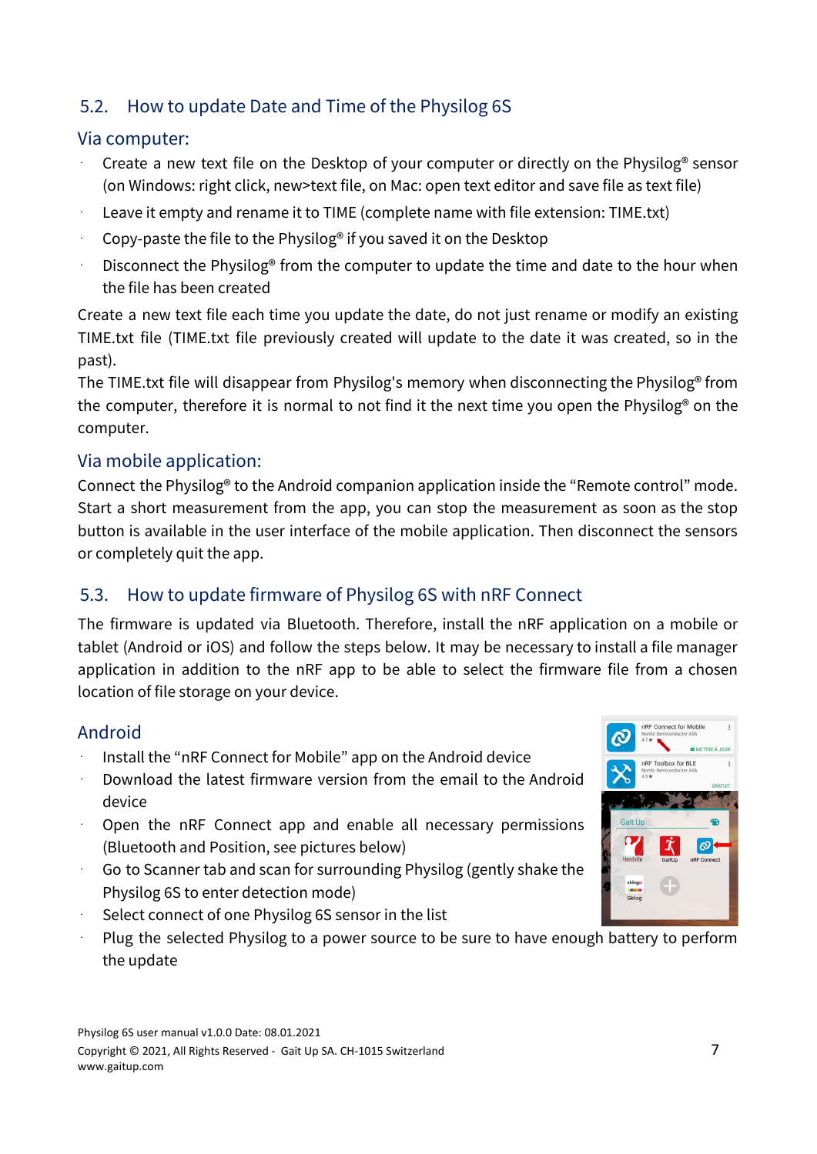# <span id="page-6-0"></span>5.2. How to update Date and Time of the Physilog 6S

#### Via computer:

- Create a new text file on the Desktop of your computer or directly on the Physilog<sup>®</sup> sensor (on Windows: right click, new>text file, on Mac: open text editor and save file as text file)
- Leave it empty and rename it to TIME (complete name with file extension: TIME.txt)
- Copy-paste the file to the Physilog<sup>®</sup> if you saved it on the Desktop
- Disconnect the Physilog® from the computer to update the time and date to the hour when the file has been created

Create a new text file each time you update the date, do not just rename or modify an existing TIME.txt file (TIME.txt file previously created will update to the date it was created, so in the past).

The TIME.txt file will disappear from Physilog's memory when disconnecting the Physilog® from the computer, therefore it is normal to not find it the next time you open the Physilog® on the computer.

# Via mobile application:

Connect the Physilog® to the Android companion application inside the "Remote control" mode. Start a short measurement from the app, you can stop the measurement as soon as the stop button is available in the user interface of the mobile application. Then disconnect the sensors or completely quit the app.

# <span id="page-6-1"></span>5.3. How to update firmware of Physilog 6S with nRF Connect

The firmware is updated via Bluetooth. Therefore, install the nRF application on a mobile or tablet (Android or iOS) and follow the steps below. It may be necessary to install a file manager application in addition to the nRF app to be able to select the firmware file from a chosen location of file storage on your device.

# Android

- Install the "nRF Connect for Mobile" app on the Android device
- Download the latest firmware version from the email to the Android device
- Open the nRF Connect app and enable all necessary permissions (Bluetooth and Position, see pictures below)
- Go to Scanner tab and scan for surrounding Physilog (gently shake the Physilog 6S to enter detection mode)
- Select connect of one Physilog 6S sensor in the list
- Plug the selected Physilog to a power source to be sure to have enough battery to perform the update

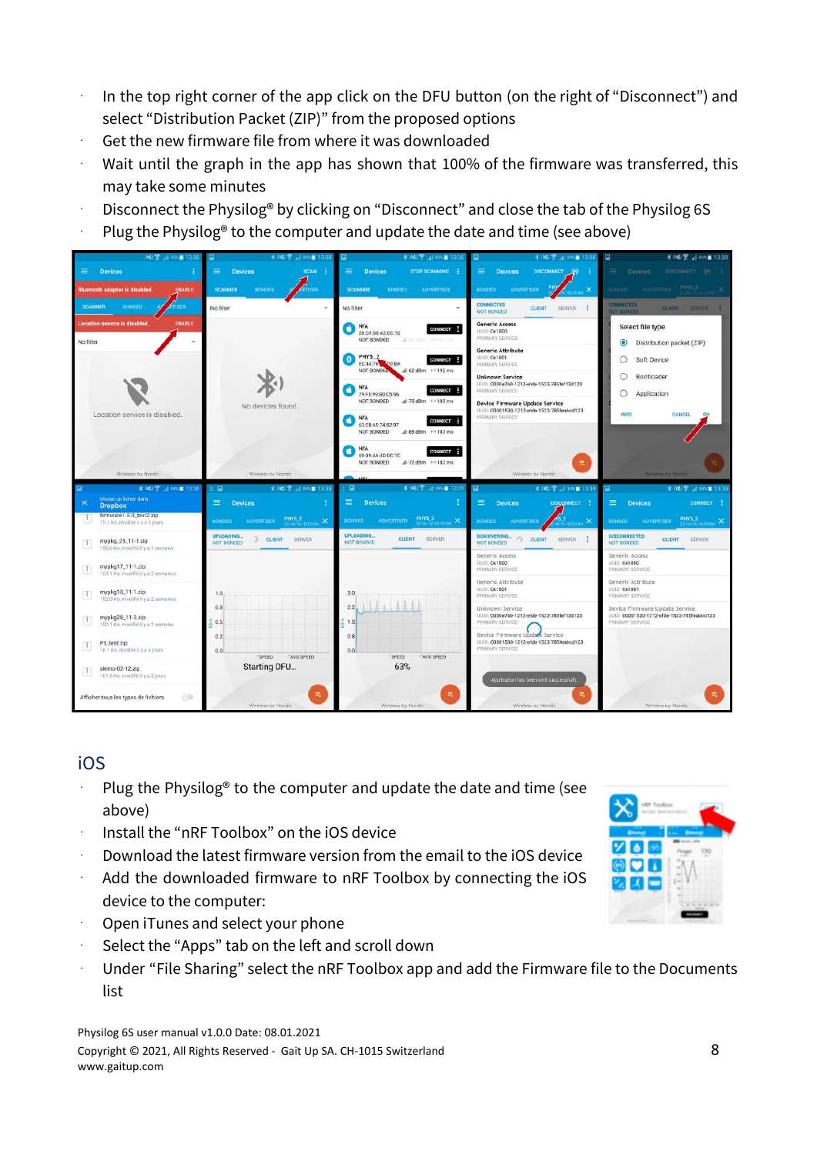- In the top right corner of the app click on the DFU button (on the right of "Disconnect") and select "Distribution Packet (ZIP)" from the proposed options
- Get the new firmware file from where it was downloaded
- Wait until the graph in the app has shown that 100% of the firmware was transferred, this may take some minutes
- Disconnect the Physilog® by clicking on "Disconnect" and close the tab of the Physilog 6S
- Plug the Physilog® to the computer and update the date and time (see above)



# iOS

- Plug the Physilog® to the computer and update the date and time (see above)
- ⋅ Install the "nRF Toolbox" on the iOS device
- ⋅ Download the latest firmware version from the email to the iOS device
- Add the downloaded firmware to nRF Toolbox by connecting the iOS device to the computer:
- Open iTunes and select your phone
- Select the "Apps" tab on the left and scroll down
- Under "File Sharing" select the nRF Toolbox app and add the Firmware file to the Documents list

Physilog 6S user manual v1.0.0 Date: 08.01.2021 Copyright © 2021, All Rights Reserved - Gait Up SA. CH-1015 Switzerland 8 www.gaitup.com

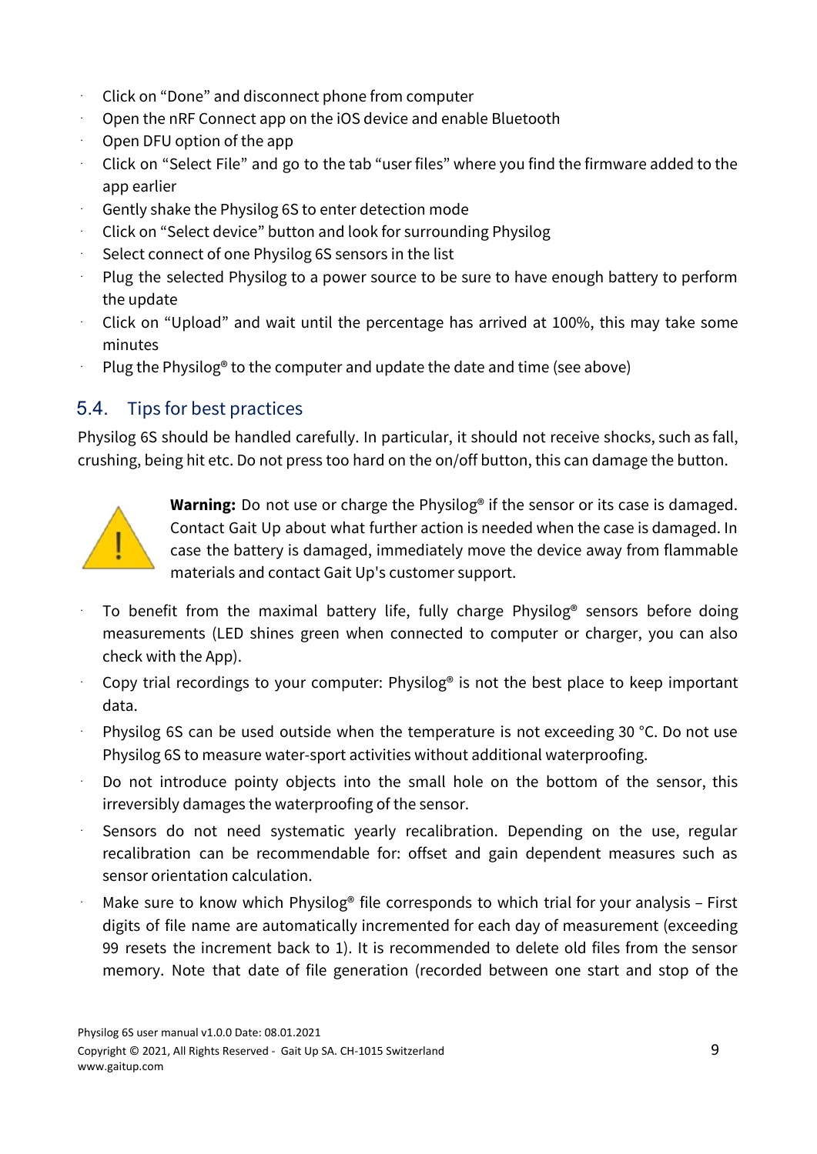- ⋅ Click on "Done" and disconnect phone from computer
- ⋅ Open the nRF Connect app on the iOS device and enable Bluetooth
- Open DFU option of the app
- $\cdot$  Click on "Select File" and go to the tab "user files" where you find the firmware added to the app earlier
- Gently shake the Physilog 6S to enter detection mode
- ⋅ Click on "Select device" button and look for surrounding Physilog
- Select connect of one Physilog 6S sensors in the list
- Plug the selected Physilog to a power source to be sure to have enough battery to perform the update
- ⋅ Click on "Upload" and wait until the percentage has arrived at 100%, this may take some minutes
- Plug the Physilog<sup>®</sup> to the computer and update the date and time (see above)

# <span id="page-8-0"></span>5.4. Tips for best practices

Physilog 6S should be handled carefully. In particular, it should not receive shocks, such as fall, crushing, being hit etc. Do not press too hard on the on/off button, this can damage the button.



**Warning:** Do not use or charge the Physilog® if the sensor or its case is damaged. Contact Gait Up about what further action is needed when the case is damaged. In case the battery is damaged, immediately move the device away from flammable materials and contact Gait Up's customer support.

- To benefit from the maximal battery life, fully charge Physilog<sup>®</sup> sensors before doing measurements (LED shines green when connected to computer or charger, you can also check with the App).
- Copy trial recordings to your computer: Physilog® is not the best place to keep important data.
- Physilog 6S can be used outside when the temperature is not exceeding 30 °C. Do not use Physilog 6S to measure water-sport activities without additional waterproofing.
- Do not introduce pointy objects into the small hole on the bottom of the sensor, this irreversibly damages the waterproofing of the sensor.
- Sensors do not need systematic yearly recalibration. Depending on the use, regular recalibration can be recommendable for: offset and gain dependent measures such as sensor orientation calculation.
- Make sure to know which Physilog<sup>®</sup> file corresponds to which trial for your analysis First digits of file name are automatically incremented for each day of measurement (exceeding 99 resets the increment back to 1). It is recommended to delete old files from the sensor memory. Note that date of file generation (recorded between one start and stop of the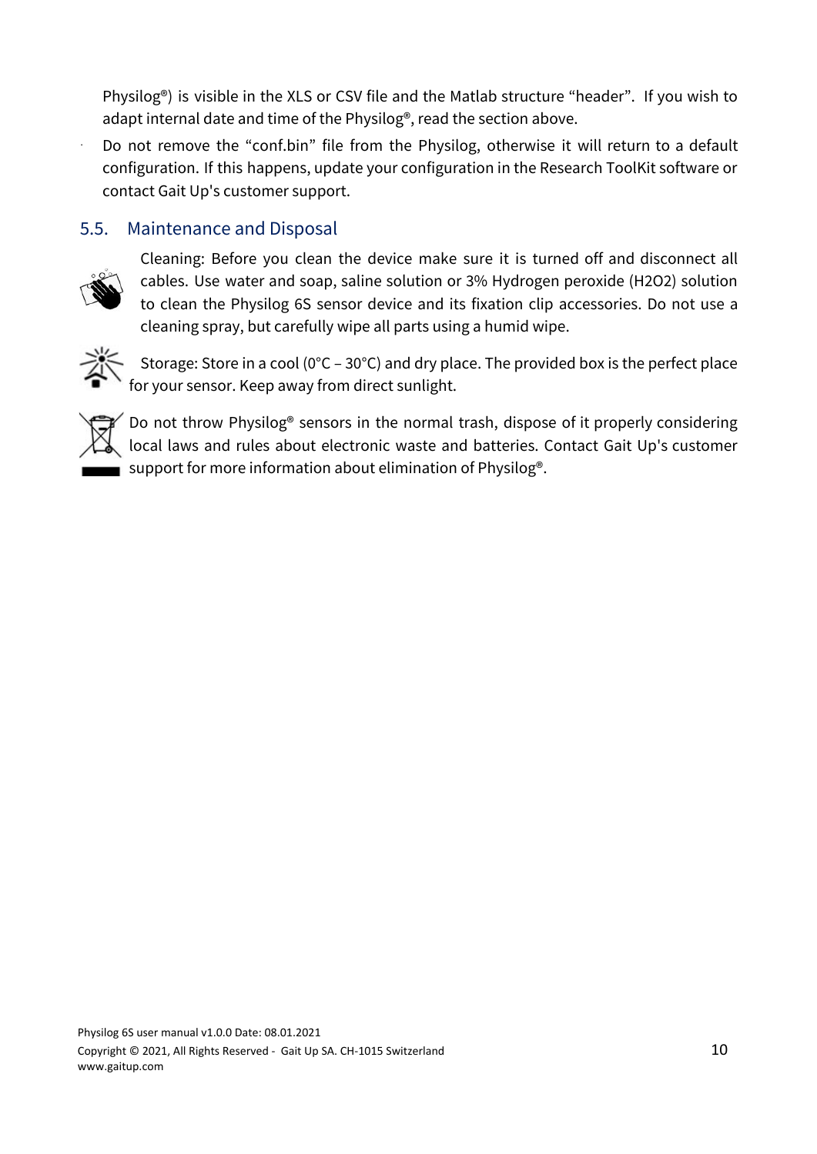Physilog®) is visible in the XLS or CSV file and the Matlab structure "header". If you wish to adapt internal date and time of the Physilog®, read the section above.

Do not remove the "conf.bin" file from the Physilog, otherwise it will return to a default configuration. If this happens, update your configuration in the Research ToolKit software or contact Gait Up's customer support.

## <span id="page-9-0"></span>5.5. Maintenance and Disposal



Cleaning: Before you clean the device make sure it is turned off and disconnect all cables. Use water and soap, saline solution or 3% Hydrogen peroxide (H2O2) solution to clean the Physilog 6S sensor device and its fixation clip accessories. Do not use a cleaning spray, but carefully wipe all parts using a humid wipe.



Storage: Store in a cool (0°C – 30°C) and dry place. The provided box is the perfect place for your sensor. Keep away from direct sunlight.



Do not throw Physilog® sensors in the normal trash, dispose of it properly considering local laws and rules about electronic waste and batteries. Contact Gait Up's customer support for more information about elimination of Physilog<sup>®</sup>.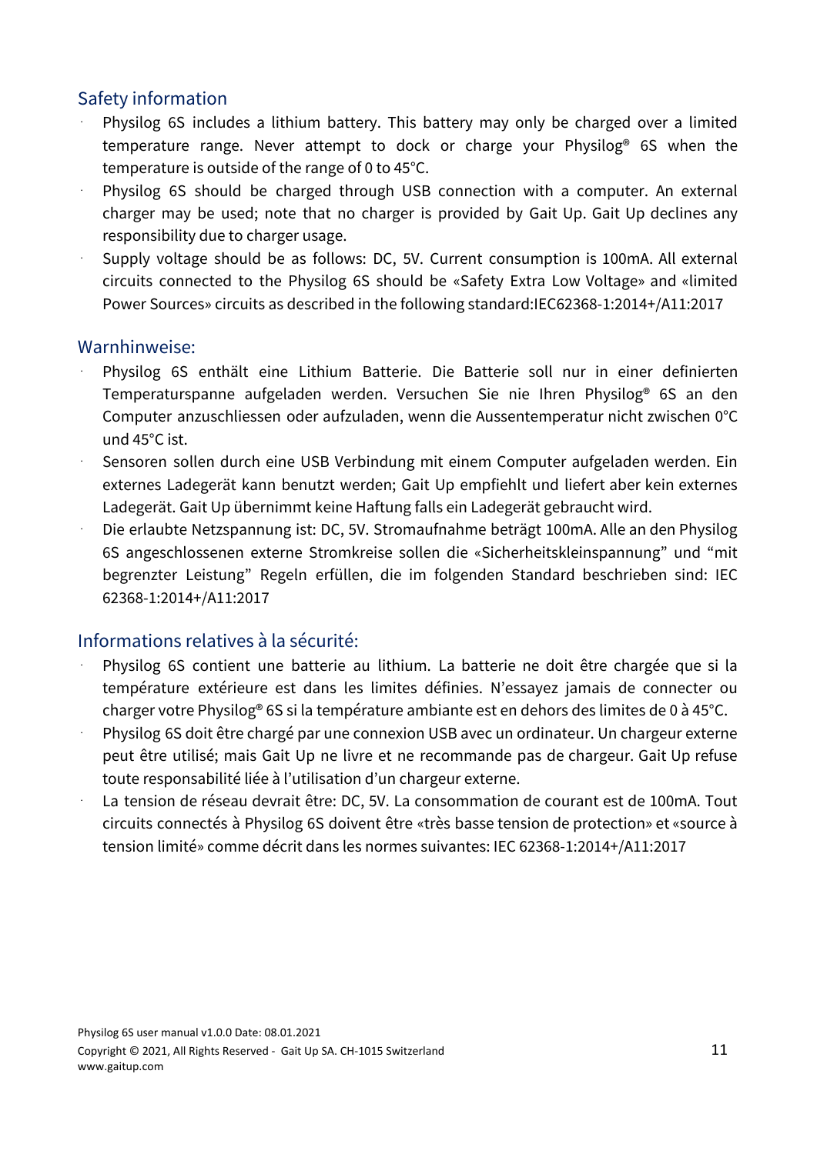# Safety information

- Physilog 6S includes a lithium battery. This battery may only be charged over a limited temperature range. Never attempt to dock or charge your Physilog® 6S when the temperature is outside of the range of 0 to 45°C.
- Physilog 6S should be charged through USB connection with a computer. An external charger may be used; note that no charger is provided by Gait Up. Gait Up declines any responsibility due to charger usage.
- Supply voltage should be as follows: DC, 5V. Current consumption is 100mA. All external circuits connected to the Physilog 6S should be «Safety Extra Low Voltage» and «limited Power Sources» circuits as described in the following standard:IEC62368-1:2014+/A11:2017

#### Warnhinweise:

- Physilog 6S enthält eine Lithium Batterie. Die Batterie soll nur in einer definierten Temperaturspanne aufgeladen werden. Versuchen Sie nie Ihren Physilog® 6S an den Computer anzuschliessen oder aufzuladen, wenn die Aussentemperatur nicht zwischen 0°C und 45°C ist.
- Sensoren sollen durch eine USB Verbindung mit einem Computer aufgeladen werden. Ein externes Ladegerät kann benutzt werden; Gait Up empfiehlt und liefert aber kein externes Ladegerät. Gait Up übernimmt keine Haftung falls ein Ladegerät gebraucht wird.
- ⋅ Die erlaubte Netzspannung ist: DC, 5V. Stromaufnahme beträgt 100mA. Alle an den Physilog 6S angeschlossenen externe Stromkreise sollen die «Sicherheitskleinspannung" und "mit begrenzter Leistung" Regeln erfüllen, die im folgenden Standard beschrieben sind: IEC 62368-1:2014+/A11:2017

# Informations relatives à la sécurité:

- Physilog 6S contient une batterie au lithium. La batterie ne doit être chargée que si la température extérieure est dans les limites définies. N'essayez jamais de connecter ou charger votre Physilog® 6S si la température ambiante est en dehors des limites de 0 à 45°C.
- Physilog 6S doit être chargé par une connexion USB avec un ordinateur. Un chargeur externe peut être utilisé; mais Gait Up ne livre et ne recommande pas de chargeur. Gait Up refuse toute responsabilité liée à l'utilisation d'un chargeur externe.
- La tension de réseau devrait être: DC, 5V. La consommation de courant est de 100mA. Tout circuits connectés à Physilog 6S doivent être «très basse tension de protection» et «source à tension limité» comme décrit dans les normes suivantes: IEC 62368-1:2014+/A11:2017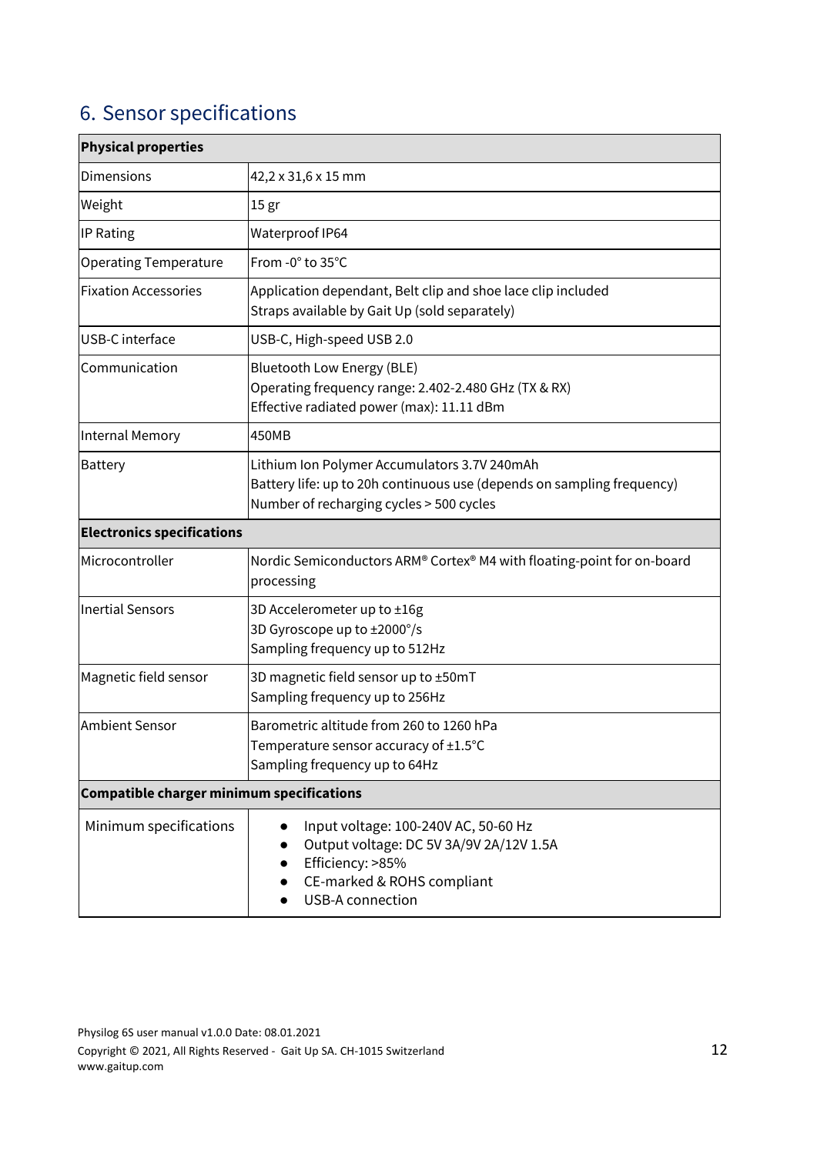# <span id="page-11-0"></span>6. Sensor specifications

| <b>Physical properties</b>                       |                                                                                                                                                                           |  |  |  |
|--------------------------------------------------|---------------------------------------------------------------------------------------------------------------------------------------------------------------------------|--|--|--|
| <b>Dimensions</b>                                | 42,2 x 31,6 x 15 mm                                                                                                                                                       |  |  |  |
| Weight                                           | 15 gr                                                                                                                                                                     |  |  |  |
| IP Rating                                        | Waterproof IP64                                                                                                                                                           |  |  |  |
| <b>Operating Temperature</b>                     | From -0° to 35°C                                                                                                                                                          |  |  |  |
| <b>Fixation Accessories</b>                      | Application dependant, Belt clip and shoe lace clip included<br>Straps available by Gait Up (sold separately)                                                             |  |  |  |
| USB-C interface                                  | USB-C, High-speed USB 2.0                                                                                                                                                 |  |  |  |
| Communication                                    | <b>Bluetooth Low Energy (BLE)</b><br>Operating frequency range: 2.402-2.480 GHz (TX & RX)<br>Effective radiated power (max): 11.11 dBm                                    |  |  |  |
| <b>Internal Memory</b>                           | 450MB                                                                                                                                                                     |  |  |  |
| <b>Battery</b>                                   | Lithium Ion Polymer Accumulators 3.7V 240mAh<br>Battery life: up to 20h continuous use (depends on sampling frequency)<br>Number of recharging cycles > 500 cycles        |  |  |  |
| <b>Electronics specifications</b>                |                                                                                                                                                                           |  |  |  |
| Microcontroller                                  | Nordic Semiconductors ARM® Cortex® M4 with floating-point for on-board<br>processing                                                                                      |  |  |  |
| <b>Inertial Sensors</b>                          | 3D Accelerometer up to ±16g<br>3D Gyroscope up to ±2000°/s<br>Sampling frequency up to 512Hz                                                                              |  |  |  |
| Magnetic field sensor                            | 3D magnetic field sensor up to ±50mT<br>Sampling frequency up to 256Hz                                                                                                    |  |  |  |
| <b>Ambient Sensor</b>                            | Barometric altitude from 260 to 1260 hPa<br>Temperature sensor accuracy of ±1.5°C<br>Sampling frequency up to 64Hz                                                        |  |  |  |
| <b>Compatible charger minimum specifications</b> |                                                                                                                                                                           |  |  |  |
| Minimum specifications                           | Input voltage: 100-240V AC, 50-60 Hz<br>$\bullet$<br>Output voltage: DC 5V 3A/9V 2A/12V 1.5A<br>Efficiency: >85%<br>CE-marked & ROHS compliant<br><b>USB-A connection</b> |  |  |  |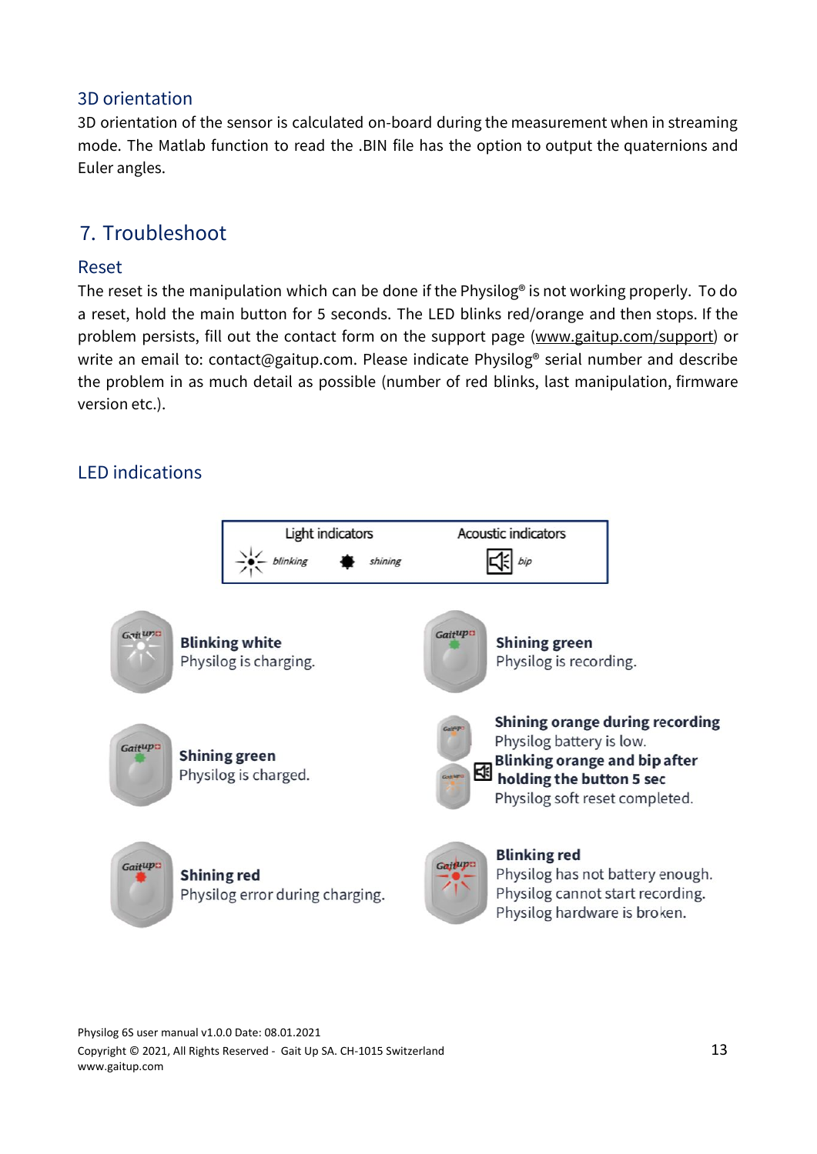# 3D orientation

3D orientation of the sensor is calculated on-board during the measurement when in streaming mode. The Matlab function to read the .BIN file has the option to output the quaternions and Euler angles.

# <span id="page-12-0"></span>7. Troubleshoot

### Reset

The reset is the manipulation which can be done if the Physilog® is not working properly. To do a reset, hold the main button for 5 seconds. The LED blinks red/orange and then stops. If the problem persists, fill out the contact form on the support page [\(www.gaitup.com/support\)](http://www.gaitup.com/support) or write an email to: contact@gaitup.com. Please indicate Physilog® serial number and describe the problem in as much detail as possible (number of red blinks, last manipulation, firmware version etc.).

# LED indications

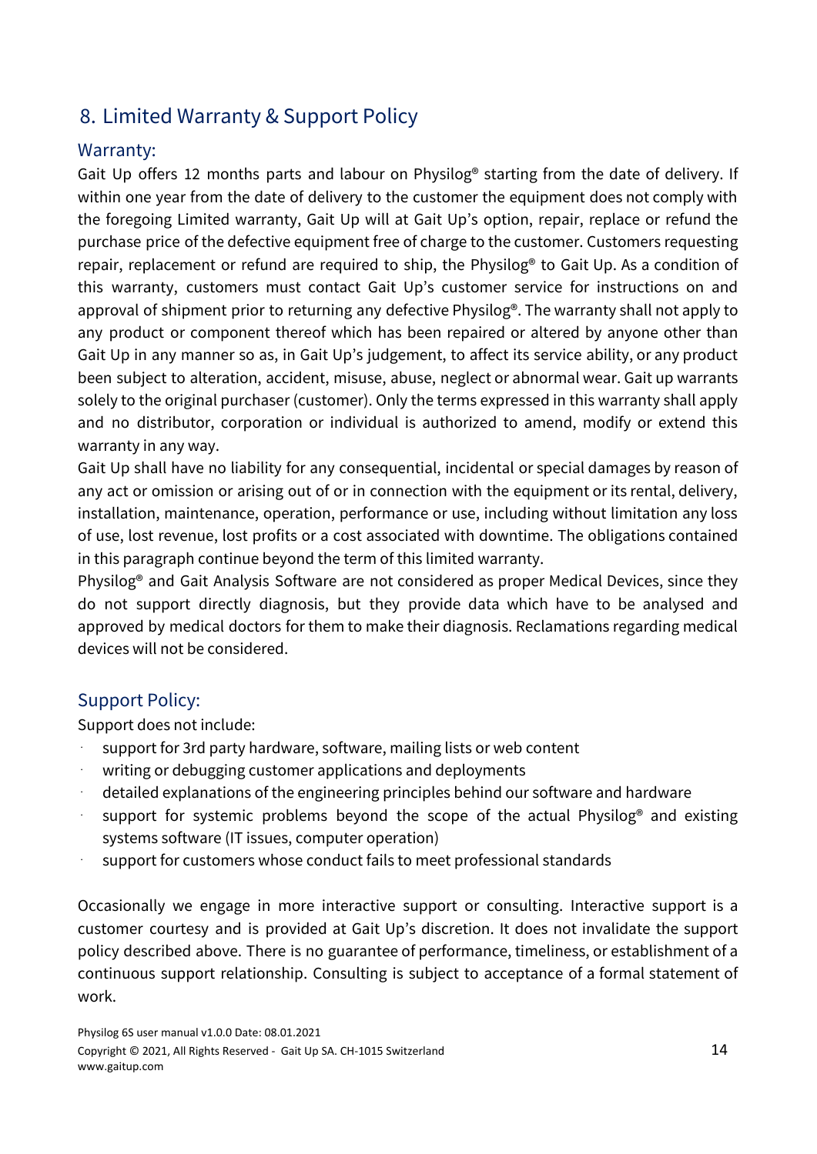# <span id="page-13-0"></span>8. Limited Warranty & Support Policy

# Warranty:

Gait Up offers 12 months parts and labour on Physilog® starting from the date of delivery. If within one year from the date of delivery to the customer the equipment does not comply with the foregoing Limited warranty, Gait Up will at Gait Up's option, repair, replace or refund the purchase price of the defective equipment free of charge to the customer. Customers requesting repair, replacement or refund are required to ship, the Physilog® to Gait Up. As a condition of this warranty, customers must contact Gait Up's customer service for instructions on and approval of shipment prior to returning any defective Physilog®. The warranty shall not apply to any product or component thereof which has been repaired or altered by anyone other than Gait Up in any manner so as, in Gait Up's judgement, to affect its service ability, or any product been subject to alteration, accident, misuse, abuse, neglect or abnormal wear. Gait up warrants solely to the original purchaser (customer). Only the terms expressed in this warranty shall apply and no distributor, corporation or individual is authorized to amend, modify or extend this warranty in any way.

Gait Up shall have no liability for any consequential, incidental or special damages by reason of any act or omission or arising out of or in connection with the equipment or its rental, delivery, installation, maintenance, operation, performance or use, including without limitation any loss of use, lost revenue, lost profits or a cost associated with downtime. The obligations contained in this paragraph continue beyond the term of this limited warranty.

Physilog® and Gait Analysis Software are not considered as proper Medical Devices, since they do not support directly diagnosis, but they provide data which have to be analysed and approved by medical doctors for them to make their diagnosis. Reclamations regarding medical devices will not be considered.

# Support Policy:

Support does not include:

- support for 3rd party hardware, software, mailing lists or web content
- writing or debugging customer applications and deployments
- detailed explanations of the engineering principles behind our software and hardware
- support for systemic problems beyond the scope of the actual Physilog<sup>®</sup> and existing systems software (IT issues, computer operation)
- support for customers whose conduct fails to meet professional standards

Occasionally we engage in more interactive support or consulting. Interactive support is a customer courtesy and is provided at Gait Up's discretion. It does not invalidate the support policy described above. There is no guarantee of performance, timeliness, or establishment of a continuous support relationship. Consulting is subject to acceptance of a formal statement of work.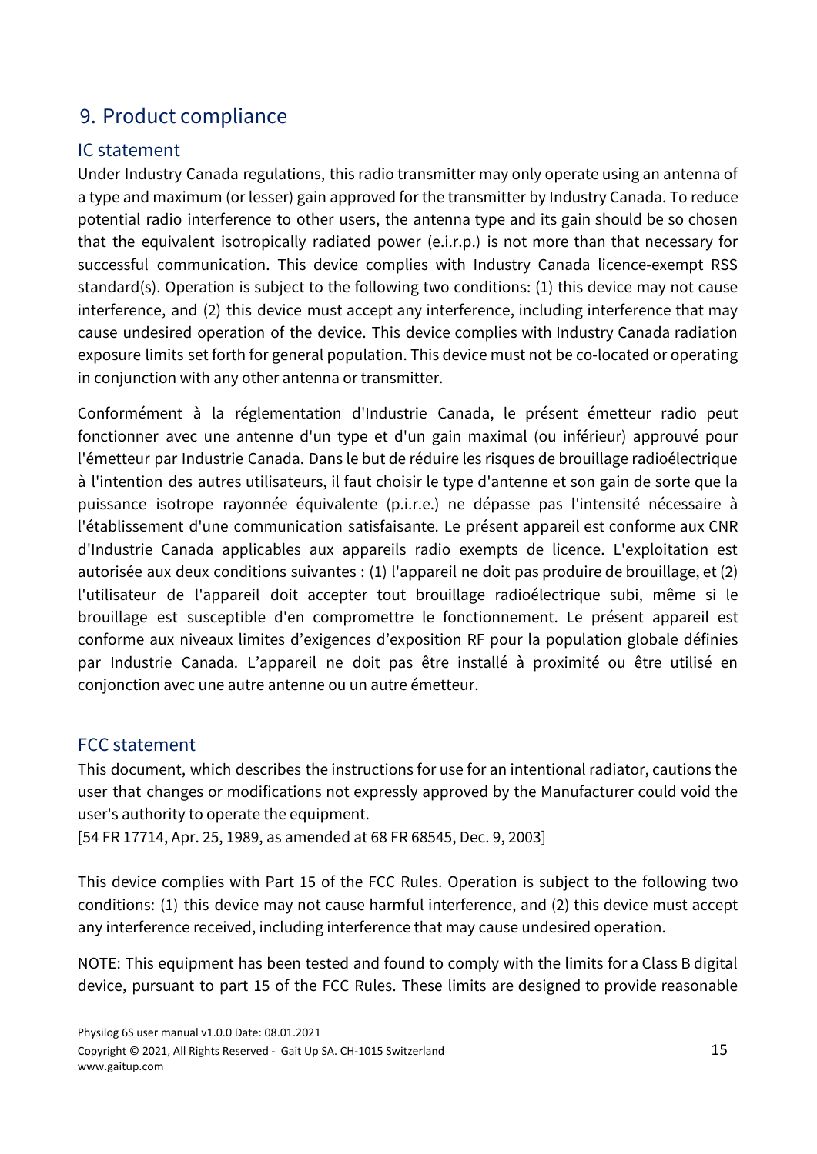# <span id="page-14-0"></span>9. Product compliance

## IC statement

Under Industry Canada regulations, this radio transmitter may only operate using an antenna of a type and maximum (or lesser) gain approved for the transmitter by Industry Canada. To reduce potential radio interference to other users, the antenna type and its gain should be so chosen that the equivalent isotropically radiated power (e.i.r.p.) is not more than that necessary for successful communication. This device complies with Industry Canada licence-exempt RSS standard(s). Operation is subject to the following two conditions: (1) this device may not cause interference, and (2) this device must accept any interference, including interference that may cause undesired operation of the device. This device complies with Industry Canada radiation exposure limits set forth for general population. This device must not be co-located or operating in conjunction with any other antenna or transmitter.

Conformément à la réglementation d'Industrie Canada, le présent émetteur radio peut fonctionner avec une antenne d'un type et d'un gain maximal (ou inférieur) approuvé pour l'émetteur par Industrie Canada. Dans le but de réduire les risques de brouillage radioélectrique à l'intention des autres utilisateurs, il faut choisir le type d'antenne et son gain de sorte que la puissance isotrope rayonnée équivalente (p.i.r.e.) ne dépasse pas l'intensité nécessaire à l'établissement d'une communication satisfaisante. Le présent appareil est conforme aux CNR d'Industrie Canada applicables aux appareils radio exempts de licence. L'exploitation est autorisée aux deux conditions suivantes : (1) l'appareil ne doit pas produire de brouillage, et (2) l'utilisateur de l'appareil doit accepter tout brouillage radioélectrique subi, même si le brouillage est susceptible d'en compromettre le fonctionnement. Le présent appareil est conforme aux niveaux limites d'exigences d'exposition RF pour la population globale définies par Industrie Canada. L'appareil ne doit pas être installé à proximité ou être utilisé en conjonction avec une autre antenne ou un autre émetteur.

#### FCC statement

This document, which describes the instructions for use for an intentional radiator, cautions the user that changes or modifications not expressly approved by the Manufacturer could void the user's authority to operate the equipment.

[54 FR 17714, Apr. 25, 1989, as amended at 68 FR 68545, Dec. 9, 2003]

This device complies with Part 15 of the FCC Rules. Operation is subject to the following two conditions: (1) this device may not cause harmful interference, and (2) this device must accept any interference received, including interference that may cause undesired operation.

NOTE: This equipment has been tested and found to comply with the limits for a Class B digital device, pursuant to part 15 of the FCC Rules. These limits are designed to provide reasonable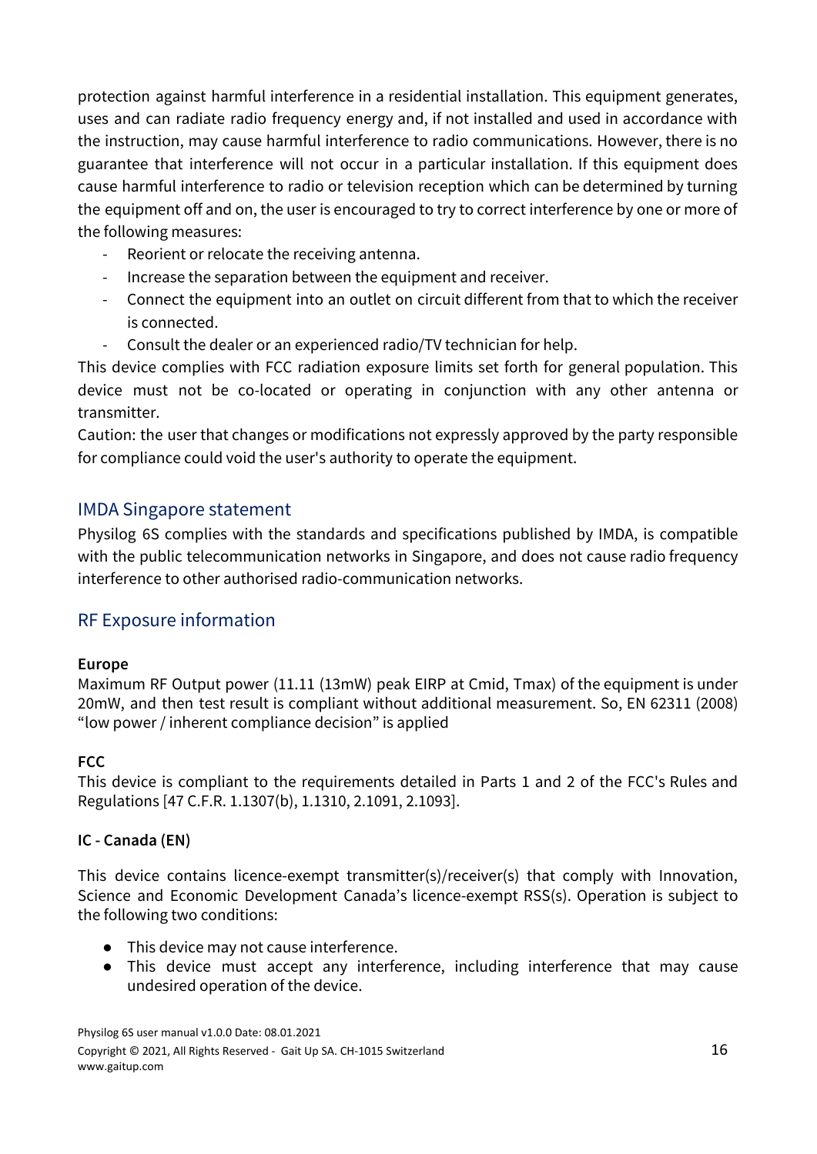protection against harmful interference in a residential installation. This equipment generates, uses and can radiate radio frequency energy and, if not installed and used in accordance with the instruction, may cause harmful interference to radio communications. However, there is no guarantee that interference will not occur in a particular installation. If this equipment does cause harmful interference to radio or television reception which can be determined by turning the equipment off and on, the user is encouraged to try to correct interference by one or more of the following measures:

- Reorient or relocate the receiving antenna.
- Increase the separation between the equipment and receiver.
- Connect the equipment into an outlet on circuit different from that to which the receiver is connected.
- Consult the dealer or an experienced radio/TV technician for help.

This device complies with FCC radiation exposure limits set forth for general population. This device must not be co-located or operating in conjunction with any other antenna or transmitter.

Caution: the user that changes or modifications not expressly approved by the party responsible for compliance could void the user's authority to operate the equipment.

# IMDA Singapore statement

Physilog 6S complies with the standards and specifications published by IMDA, is compatible with the public telecommunication networks in Singapore, and does not cause radio frequency interference to other authorised radio-communication networks.

# RF Exposure information

#### <span id="page-15-0"></span>**Europe**

Maximum RF Output power (11.11 (13mW) peak EIRP at Cmid, Tmax) of the equipment is under 20mW, and then test result is compliant without additional measurement. So, EN 62311 (2008) "low power / inherent compliance decision" is applied

#### <span id="page-15-1"></span>**FCC**

This device is compliant to the requirements detailed in Parts 1 and 2 of the FCC's Rules and Regulations [47 C.F.R. 1.1307(b), 1.1310, 2.1091, 2.1093].

#### <span id="page-15-2"></span>**IC - Canada (EN)**

This device contains licence-exempt transmitter(s)/receiver(s) that comply with Innovation, Science and Economic Development Canada's licence-exempt RSS(s). Operation is subject to the following two conditions:

- This device may not cause interference.
- This device must accept any interference, including interference that may cause undesired operation of the device.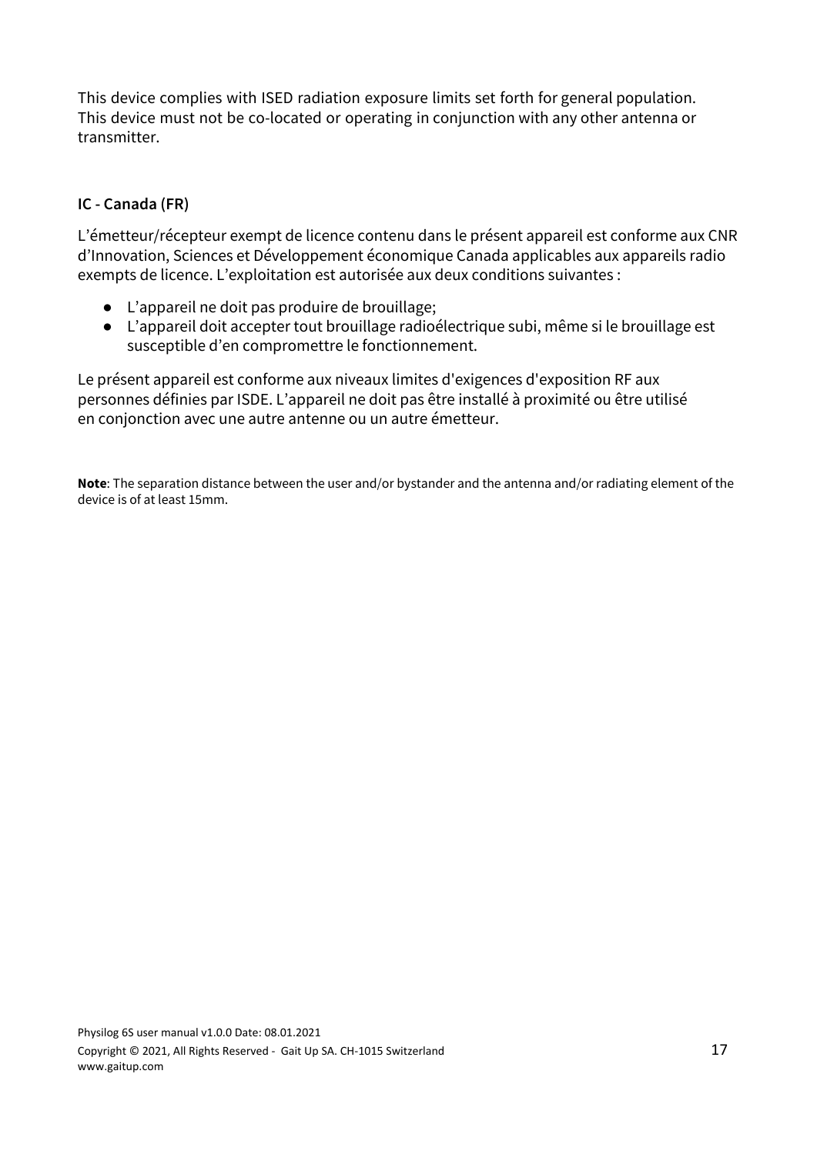This device complies with ISED radiation exposure limits set forth for general population. This device must not be co-located or operating in conjunction with any other antenna or transmitter.

#### <span id="page-16-0"></span>**IC - Canada (FR)**

L'émetteur/récepteur exempt de licence contenu dans le présent appareil est conforme aux CNR d'Innovation, Sciences et Développement économique Canada applicables aux appareils radio exempts de licence. L'exploitation est autorisée aux deux conditions suivantes :

- L'appareil ne doit pas produire de brouillage;
- L'appareil doit accepter tout brouillage radioélectrique subi, même si le brouillage est susceptible d'en compromettre le fonctionnement.

Le présent appareil est conforme aux niveaux limites d'exigences d'exposition RF aux personnes définies par ISDE. L'appareil ne doit pas être installé à proximité ou être utilisé en conjonction avec une autre antenne ou un autre émetteur.

**Note**: The separation distance between the user and/or bystander and the antenna and/or radiating element of the device is of at least 15mm.